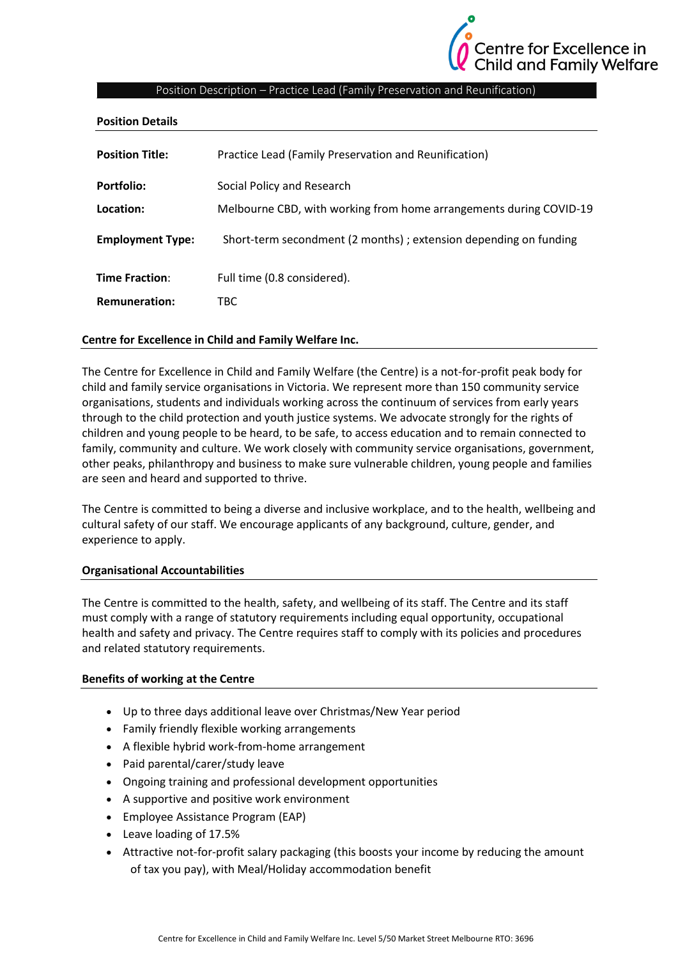

# Position Description – Practice Lead (Family Preservation and Reunification)

| <b>Position Details</b> |                                                                    |
|-------------------------|--------------------------------------------------------------------|
| <b>Position Title:</b>  | Practice Lead (Family Preservation and Reunification)              |
| Portfolio:              | Social Policy and Research                                         |
| Location:               | Melbourne CBD, with working from home arrangements during COVID-19 |
| <b>Employment Type:</b> | Short-term secondment (2 months); extension depending on funding   |
| <b>Time Fraction:</b>   | Full time (0.8 considered).                                        |
| <b>Remuneration:</b>    | TBC                                                                |
|                         |                                                                    |

#### **Centre for Excellence in Child and Family Welfare Inc.**

The Centre for Excellence in Child and Family Welfare (the Centre) is a not-for-profit peak body for child and family service organisations in Victoria. We represent more than 150 community service organisations, students and individuals working across the continuum of services from early years through to the child protection and youth justice systems. We advocate strongly for the rights of children and young people to be heard, to be safe, to access education and to remain connected to family, community and culture. We work closely with community service organisations, government, other peaks, philanthropy and business to make sure vulnerable children, young people and families are seen and heard and supported to thrive.

The Centre is committed to being a diverse and inclusive workplace, and to the health, wellbeing and cultural safety of our staff. We encourage applicants of any background, culture, gender, and experience to apply.

#### **Organisational Accountabilities**

The Centre is committed to the health, safety, and wellbeing of its staff. The Centre and its staff must comply with a range of statutory requirements including equal opportunity, occupational health and safety and privacy. The Centre requires staff to comply with its policies and procedures and related statutory requirements.

#### **Benefits of working at the Centre**

- Up to three days additional leave over Christmas/New Year period
- Family friendly flexible working arrangements
- A flexible hybrid work-from-home arrangement
- Paid parental/carer/study leave
- Ongoing training and professional development opportunities
- A supportive and positive work environment
- Employee Assistance Program (EAP)
- Leave loading of 17.5%
- Attractive not-for-profit salary packaging (this boosts your income by reducing the amount of tax you pay), with Meal/Holiday accommodation benefit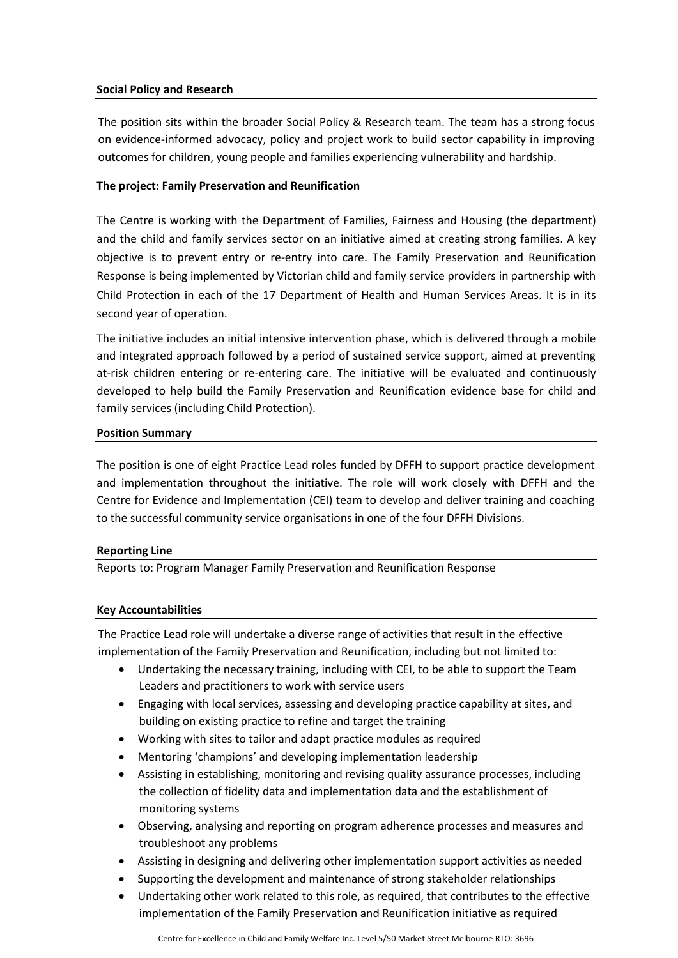#### **Social Policy and Research**

The position sits within the broader Social Policy & Research team. The team has a strong focus on evidence-informed advocacy, policy and project work to build sector capability in improving outcomes for children, young people and families experiencing vulnerability and hardship.

# **The project: Family Preservation and Reunification**

The Centre is working with the Department of Families, Fairness and Housing (the department) and the child and family services sector on an initiative aimed at creating strong families. A key objective is to prevent entry or re-entry into care. The Family Preservation and Reunification Response is being implemented by Victorian child and family service providers in partnership with Child Protection in each of the 17 Department of Health and Human Services Areas. It is in its second year of operation.

The initiative includes an initial intensive intervention phase, which is delivered through a mobile and integrated approach followed by a period of sustained service support, aimed at preventing at-risk children entering or re-entering care. The initiative will be evaluated and continuously developed to help build the Family Preservation and Reunification evidence base for child and family services (including Child Protection).

#### **Position Summary**

The position is one of eight Practice Lead roles funded by DFFH to support practice development and implementation throughout the initiative. The role will work closely with DFFH and the Centre for Evidence and Implementation (CEI) team to develop and deliver training and coaching to the successful community service organisations in one of the four DFFH Divisions.

# **Reporting Line**

Reports to: Program Manager Family Preservation and Reunification Response

# **Key Accountabilities**

The Practice Lead role will undertake a diverse range of activities that result in the effective implementation of the Family Preservation and Reunification, including but not limited to:

- Undertaking the necessary training, including with CEI, to be able to support the Team Leaders and practitioners to work with service users
- Engaging with local services, assessing and developing practice capability at sites, and building on existing practice to refine and target the training
- Working with sites to tailor and adapt practice modules as required
- Mentoring 'champions' and developing implementation leadership
- Assisting in establishing, monitoring and revising quality assurance processes, including the collection of fidelity data and implementation data and the establishment of monitoring systems
- Observing, analysing and reporting on program adherence processes and measures and troubleshoot any problems
- Assisting in designing and delivering other implementation support activities as needed
- Supporting the development and maintenance of strong stakeholder relationships
- Undertaking other work related to this role, as required, that contributes to the effective implementation of the Family Preservation and Reunification initiative as required